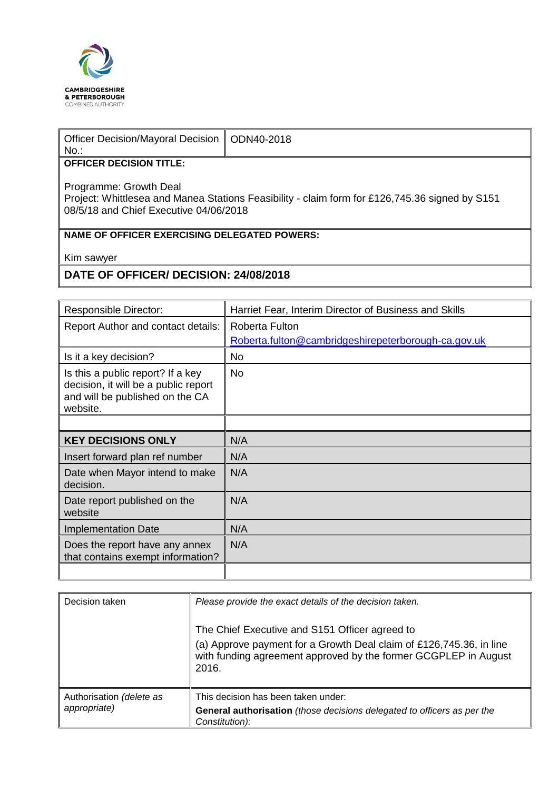

| Officer Decision/Mayoral Decision   ODN40-2018<br>No.: |  |
|--------------------------------------------------------|--|
| <b>OFFICER DECISION TITLE:</b>                         |  |
| Drogrammo: Crouth Dool                                 |  |

Programme: Growth Deal Project: Whittlesea and Manea Stations Feasibility - claim form for £126,745.36 signed by S151 08/5/18 and Chief Executive 04/06/2018

## **NAME OF OFFICER EXERCISING DELEGATED POWERS:**

Kim sawyer

## **DATE OF OFFICER/ DECISION: 24/08/2018**

| <b>Responsible Director:</b>                                                                                             | Harriet Fear, Interim Director of Business and Skills |
|--------------------------------------------------------------------------------------------------------------------------|-------------------------------------------------------|
| <b>Report Author and contact details:</b>                                                                                | <b>Roberta Fulton</b>                                 |
|                                                                                                                          | Roberta.fulton@cambridgeshirepeterborough-ca.gov.uk   |
| Is it a key decision?                                                                                                    | No                                                    |
| Is this a public report? If a key<br>decision, it will be a public report<br>and will be published on the CA<br>website. | <b>No</b>                                             |
|                                                                                                                          |                                                       |
| <b>KEY DECISIONS ONLY</b>                                                                                                | N/A                                                   |
| Insert forward plan ref number                                                                                           | N/A                                                   |
| Date when Mayor intend to make<br>decision.                                                                              | N/A                                                   |
| Date report published on the<br>website                                                                                  | N/A                                                   |
| <b>Implementation Date</b>                                                                                               | N/A                                                   |
| Does the report have any annex<br>that contains exempt information?                                                      | N/A                                                   |
|                                                                                                                          |                                                       |

| Decision taken                           | Please provide the exact details of the decision taken.                                                                                                                                           |
|------------------------------------------|---------------------------------------------------------------------------------------------------------------------------------------------------------------------------------------------------|
|                                          | The Chief Executive and S151 Officer agreed to<br>(a) Approve payment for a Growth Deal claim of £126,745.36, in line<br>with funding agreement approved by the former GCGPLEP in August<br>2016. |
| Authorisation (delete as<br>appropriate) | This decision has been taken under:<br>General authorisation (those decisions delegated to officers as per the<br>Constitution):                                                                  |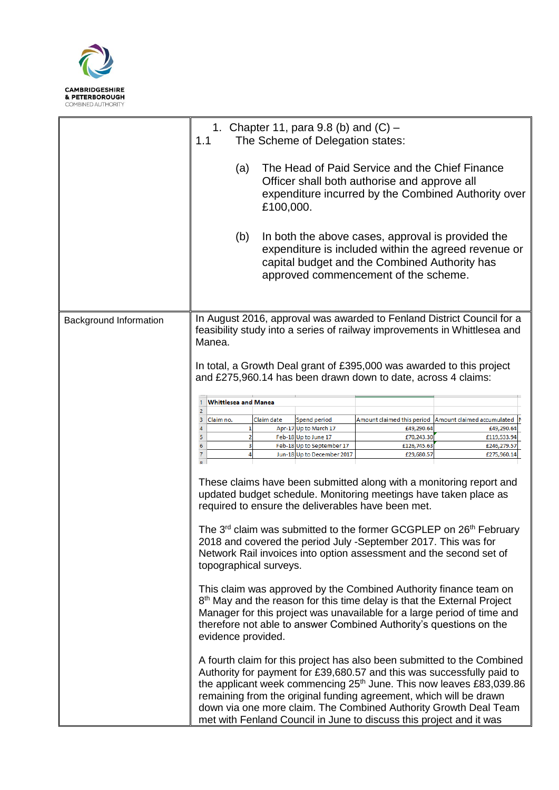

|                        | 1. Chapter 11, para 9.8 (b) and $(C)$ –<br>1.1<br>The Scheme of Delegation states:                                                                                                                                                                                                                                                                                                                                                                            |                     |                                                   |                                                                                                                                           |                                                                                                                                                                                                                                                                                                          |
|------------------------|---------------------------------------------------------------------------------------------------------------------------------------------------------------------------------------------------------------------------------------------------------------------------------------------------------------------------------------------------------------------------------------------------------------------------------------------------------------|---------------------|---------------------------------------------------|-------------------------------------------------------------------------------------------------------------------------------------------|----------------------------------------------------------------------------------------------------------------------------------------------------------------------------------------------------------------------------------------------------------------------------------------------------------|
|                        | The Head of Paid Service and the Chief Finance<br>(a)<br>Officer shall both authorise and approve all<br>expenditure incurred by the Combined Authority over<br>£100,000.                                                                                                                                                                                                                                                                                     |                     |                                                   |                                                                                                                                           |                                                                                                                                                                                                                                                                                                          |
|                        | In both the above cases, approval is provided the<br>(b)<br>expenditure is included within the agreed revenue or<br>capital budget and the Combined Authority has<br>approved commencement of the scheme.                                                                                                                                                                                                                                                     |                     |                                                   |                                                                                                                                           |                                                                                                                                                                                                                                                                                                          |
| Background Information | In August 2016, approval was awarded to Fenland District Council for a<br>feasibility study into a series of railway improvements in Whittlesea and<br>Manea.<br>In total, a Growth Deal grant of £395,000 was awarded to this project<br>and £275,960.14 has been drawn down to date, across 4 claims:                                                                                                                                                       |                     |                                                   |                                                                                                                                           |                                                                                                                                                                                                                                                                                                          |
|                        |                                                                                                                                                                                                                                                                                                                                                                                                                                                               |                     |                                                   |                                                                                                                                           |                                                                                                                                                                                                                                                                                                          |
|                        | <b>Whittlesea and Manea</b><br>1                                                                                                                                                                                                                                                                                                                                                                                                                              |                     |                                                   |                                                                                                                                           |                                                                                                                                                                                                                                                                                                          |
|                        | $\overline{\mathbf{c}}$<br>3<br>Claim no.                                                                                                                                                                                                                                                                                                                                                                                                                     | Claim date          | Spend period                                      | Amount claimed this period                                                                                                                | Amount claimed accumulated                                                                                                                                                                                                                                                                               |
|                        | $\overline{\mathbf{4}}$                                                                                                                                                                                                                                                                                                                                                                                                                                       | 1                   | Apr-17 Up to March 17                             | £49,290.64                                                                                                                                | £49,290.64                                                                                                                                                                                                                                                                                               |
|                        | 5<br>6                                                                                                                                                                                                                                                                                                                                                                                                                                                        | $\overline{2}$<br>з | Feb-18 Up to June 17<br>Feb-18 Up to September 17 | £70,243.30<br>£126,745.63                                                                                                                 | £119,533.94<br>£246,279.57                                                                                                                                                                                                                                                                               |
|                        | $\overline{7}$<br>$\overline{Q}$                                                                                                                                                                                                                                                                                                                                                                                                                              | $\overline{4}$      | Jun-18 Up to December 2017                        | £29,680.57                                                                                                                                | £275,960.14                                                                                                                                                                                                                                                                                              |
|                        | These claims have been submitted along with a monitoring report and<br>updated budget schedule. Monitoring meetings have taken place as<br>required to ensure the deliverables have been met.<br>The 3 <sup>rd</sup> claim was submitted to the former GCGPLEP on 26 <sup>th</sup> February<br>2018 and covered the period July -September 2017. This was for<br>Network Rail invoices into option assessment and the second set of<br>topographical surveys. |                     |                                                   |                                                                                                                                           |                                                                                                                                                                                                                                                                                                          |
|                        | This claim was approved by the Combined Authority finance team on<br>8 <sup>th</sup> May and the reason for this time delay is that the External Project<br>Manager for this project was unavailable for a large period of time and<br>therefore not able to answer Combined Authority's questions on the<br>evidence provided.                                                                                                                               |                     |                                                   |                                                                                                                                           |                                                                                                                                                                                                                                                                                                          |
|                        |                                                                                                                                                                                                                                                                                                                                                                                                                                                               |                     |                                                   | remaining from the original funding agreement, which will be drawn<br>met with Fenland Council in June to discuss this project and it was | A fourth claim for this project has also been submitted to the Combined<br>Authority for payment for £39,680.57 and this was successfully paid to<br>the applicant week commencing 25 <sup>th</sup> June. This now leaves £83,039.86<br>down via one more claim. The Combined Authority Growth Deal Team |